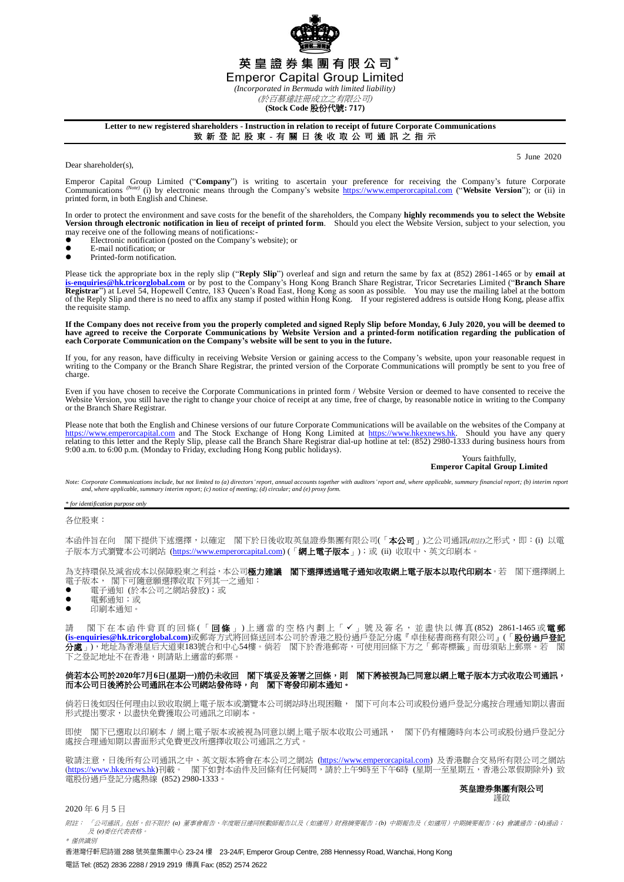

# 英皇證券集團有限公司\*

**Emperor Capital Group Limited** 

*(Incorporated in Bermuda with limited liability)* (於百慕達註冊成立之有限公司)

**(Stock Code** 股份代號**: 717)**

## **Letter to new registered shareholders - Instruction in relation to receipt of future Corporate Communications**

致 新 登 記 股 東 - 有 關 日 後 收 取 公 司 通 訊 之 指 示

Dear shareholder(s),

5 June 2020

Emperor Capital Group Limited ("Company") is writing to ascertain your preference for receiving the Company's future Corporate Companyies future Corporate Companyies (i) by electronic means through the Company's website ht printed form, in both English and Chinese.

In order to protect the environment and save costs for the benefit of the shareholders, the Company **highly recommends you to select the Website**<br>Version through electronic notification in lieu of receipt of printed form.

- may receive one of the following means of notifications:<br>• Electronic notification (posted on the Company's  $\bullet$  Electronic notification (posted on the Company's website); or
- $\bullet$  E-mail notification; or
- Printed-form notification.

Please tick the appropriate box in the reply slip ("**Reply Slip**") overleaf and sign and return the same by fax at (852) 2861-1465 or by **email at [is-enquiries@hk.tricorglobal.com](mailto:is-enquiries@hk.tricorglobal.com)** or by post to the Company's Hong Kong Branch Share Registrar, Tricor Secretaries Limited ("**Branch Share**  Registrar") at Level 54, Hopewell Centre, 183 Queen's Road East, Hong Kong as soon as possible. You may use the mailing label at the bottom<br>of the Reply Slip and there is no need to affix any stamp if posted within Hong Ko the requisite stamp.

**If the Company does not receive from you the properly completed and signed Reply Slip before Monday, 6 July 2020, you will be deemed to have agreed to receive the Corporate Communications by Website Version and a printed-form notification regarding the publication of each Corporate Communication on the Company's website will be sent to you in the future.**

If you, for any reason, have difficulty in receiving Website Version or gaining access to the Company's website, upon your reasonable request in writing to the Company or the Branch Share Registrar, the printed version of the Corporate Communications will promptly be sent to you free of charge.

Even if you have chosen to receive the Corporate Communications in printed form / Website Version or deemed to have consented to receive the Website Version, you still have the right to change your choice of receipt at any time, free of charge, by reasonable notice in writing to the Company or the Branch Share Registrar.

Please note that both the English and Chinese versions of our future Corporate Communications will be available on the websites of the Company at [https://www.emperorcapital.com](https://www.emperorcapital.com/) and The Stock Exchange of Hong Kong Limited at [https://www.hkexnews.hk.](https://www.hkexnews.hk/) Should you have any query relating to this letter and the Reply Slip, please call the Branch Share Registrar dial-up ho

#### Yours faithfully, **Emperor Capital Group Limited**

Note: Corporate Communications include, but not limited to (a) directors' report, annual accounts together with auditors' report and, where applicable, summary financial report; (b) interim repor *and, where applicable, summary interim report; (c) notice of meeting; (d) circular; and (e) proxy form.*

*\* for identification purpose only*

各位股東:

本函件旨在向 閣下提供下述選擇,以確定 閣下於日後收取英皇證券集團有限公司(「本公司」)之公司通訊(*附註*)之形式,即:(i) 以電 子版本方式瀏覽本公司網站 [\(https://www.emperorcapital.com\)](https://www.emperorcapital.com/) (「網上電子版本」);或 (ii) 收取中、英文印刷本。

為支持環保及減省成本以保障股東之利益,本公司**極力建議 閣下選擇透過電子通知收取網上電子版本以取代印刷本**。若 閣下選擇網上 電子版本, 閣下可隨意願選擇收取下列其一之通知:

- 電子通知 (於本公司之網站發放);或
- 電郵通知;或
- 印刷本通知。

請 閣下在本 函 件 背 頁 的 回 條 (「 **回 條** 」) 上 適 當 的 空 格 内 劃 上 「 ✔ 」 號 及 簽 名 , 並 盡 快 以 傳 真 (852) 2861-1465 或 **電 郵 [\(is-enquiries@hk.tricorglobal.com\)](mailto:is-enquiries@hk.tricorglobal.com)**或郵寄方式將回條送回本公司於香港之股份過戶登記分處『卓佳秘書商務有限公司』(「股份過戶登記 分處」),地址為香港皇后大道東183號合和中心54樓。倘若 閣下於香港郵寄,可使用回條下方之「郵寄標籤」而毋須貼上郵票。若 下之登記地址不在香港,則請貼上適當的郵票。

### 倘若本公司於**2020**年**7**月**6**日**(**星期一**)**前仍未收回 閣下填妥及簽署之回條,則 閣下將被視為已同意以網上電子版本方式收取公司通訊, 而本公司日後將於公司通訊在本公司網站發佈時,向 閣下寄發印刷本通知。

 倘若日後如因任何理由以致收取網上電子版本或瀏覽本公司網站時出現困難, 閣下可向本公司或股份過戶登記分處按合理通知期以書面 形式提出要求,以盡快免費獲取公司通訊之印刷本。

即使 閣下已選取以印刷本 / 網上電子版本或被視為同意以網上電子版本收取公司通訊, 閣下仍有權隨時向本公司或股份過戶登記分 處按合理通知期以書面形式免費更改所選擇收取公司通訊之方式。

敬請注意,日後所有公司通訊之中、英文版本將會在本公司之網站 [\(https://www.emperorcapital.com\)](https://www.emperorcapital.com/) 及香港聯合交易所有限公司之網站 (<u>https://www.hkexnews.hk</u>)刊載。 閣下如對本函件及回條有任何疑問,請於上午9時至下午6時 (星期一至星期五,香港公眾假期除外) 致 電股份過戶登記分處熱線 (852) 2980-1333。

#### 英皇證券集團有限公司 謹啟

## 2020 年 6 月 5 日

附註: 「公司通訊」包括,但不限於 *(a)* 董事會報告、年度賬目連同核數師報告以及(如適用)財務摘要報告;*(b)* 中期報告及(如適用)中期摘要報告;*(c)* 會議通告;*(d)*通函; 及 *(e)*委任代表表格。 \* 僅供識別

香港灣仔軒尼詩道 288 號英皇集團中心 23-24 樓 23-24/F, Emperor Group Centre, 288 Hennessy Road, Wanchai, Hong Kong 電話 Tel: (852) 2836 2288 / 2919 2919 傳真 Fax: (852) 2574 2622